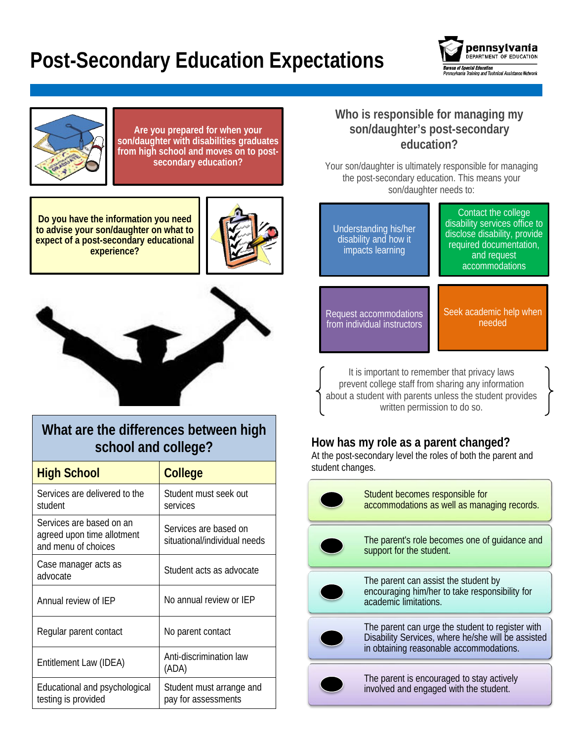# **Post-Secondary Education Expectations**





**Are you prepared for when your son/daughter with disabilities graduates from high school and moves on to postsecondary education?** 

**Do you have the information you need to advise your son/daughter on what to expect of a post-secondary educational experience?**





# **What are the differences between high school and college?**

| <b>High School</b>                                                            | <b>College</b>                                        |
|-------------------------------------------------------------------------------|-------------------------------------------------------|
| Services are delivered to the<br>student                                      | Student must seek out<br>services                     |
| Services are based on an<br>agreed upon time allotment<br>and menu of choices | Services are based on<br>situational/individual needs |
| Case manager acts as<br>advocate                                              | Student acts as advocate                              |
| Annual review of IFP                                                          | No annual review or IFP                               |
| Regular parent contact                                                        | No parent contact                                     |
| Entitlement Law (IDEA)                                                        | Anti-discrimination law<br>(ADA)                      |
| Educational and psychological<br>testing is provided                          | Student must arrange and<br>pay for assessments       |

### **Who is responsible for managing my son/daughter's post-secondary education?**

Your son/daughter is ultimately responsible for managing the post-secondary education. This means your son/daughter needs to:

| Understanding his/her<br>disability and how it<br>impacts learning | Contact the college<br>disability services office to<br>disclose disability, provide<br>required documentation,<br>and request<br>accommodations |
|--------------------------------------------------------------------|--------------------------------------------------------------------------------------------------------------------------------------------------|
| Request accommodations                                             | Seek academic help when                                                                                                                          |
| from individual instructors                                        | needed                                                                                                                                           |

It is important to remember that privacy laws prevent college staff from sharing any information about a student with parents unless the student provides written permission to do so.

## **How has my role as a parent changed?**

At the post-secondary level the roles of both the parent and student changes.